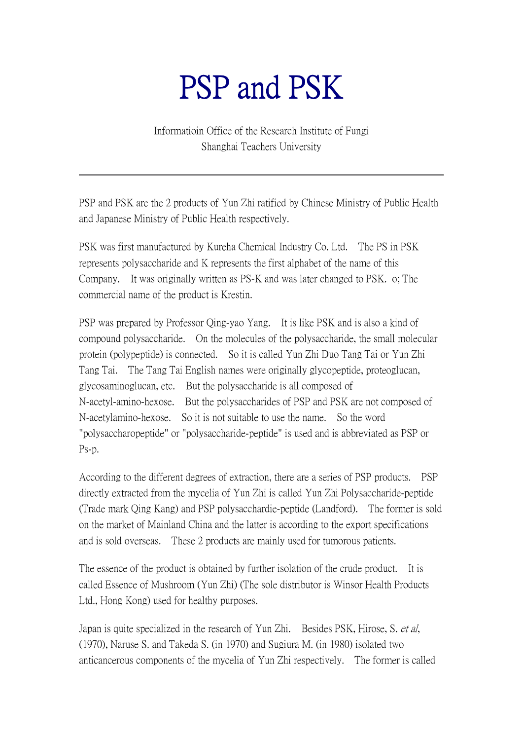## PSP and PSK

Informatioin Office of the Research Institute of Fungi Shanghai Teachers University

PSP and PSK are the 2 products of Yun Zhi ratified by Chinese Ministry of Public Health and Japanese Ministry of Public Health respectively.

PSK was first manufactured by Kureha Chemical Industry Co. Ltd. The PS in PSK represents polysaccharide and K represents the first alphabet of the name of this Company. It was originally written as PS-K and was later changed to PSK. o; The commercial name of the product is Krestin.

PSP was prepared by Professor Qing-yao Yang. It is like PSK and is also a kind of compound polysaccharide. On the molecules of the polysaccharide, the small molecular protein (polypeptide) is connected. So it is called Yun Zhi Duo Tang Tai or Yun Zhi Tang Tai. The Tang Tai English names were originally glycopeptide, proteoglucan, glycosaminoglucan, etc. But the polysaccharide is all composed of N-acetyl-amino-hexose. But the polysaccharides of PSP and PSK are not composed of N-acetylamino-hexose. So it is not suitable to use the name. So the word "polysaccharopeptide" or "polysaccharide-peptide" is used and is abbreviated as PSP or Ps-p.

According to the different degrees of extraction, there are a series of PSP products. PSP directly extracted from the mycelia of Yun Zhi is called Yun Zhi Polysaccharide-peptide (Trade mark Qing Kang) and PSP polysacchardie-peptide (Landford). The former is sold on the market of Mainland China and the latter is according to the export specifications and is sold overseas. These 2 products are mainly used for tumorous patients.

The essence of the product is obtained by further isolation of the crude product. It is called Essence of Mushroom (Yun Zhi) (The sole distributor is Winsor Health Products Ltd., Hong Kong) used for healthy purposes.

Japan is quite specialized in the research of Yun Zhi. Besides PSK, Hirose, S. et al. (1970), Naruse S. and Takeda S. (in 1970) and Sugiura M. (in 1980) isolated two anticancerous components of the mycelia of Yun Zhi respectively. The former is called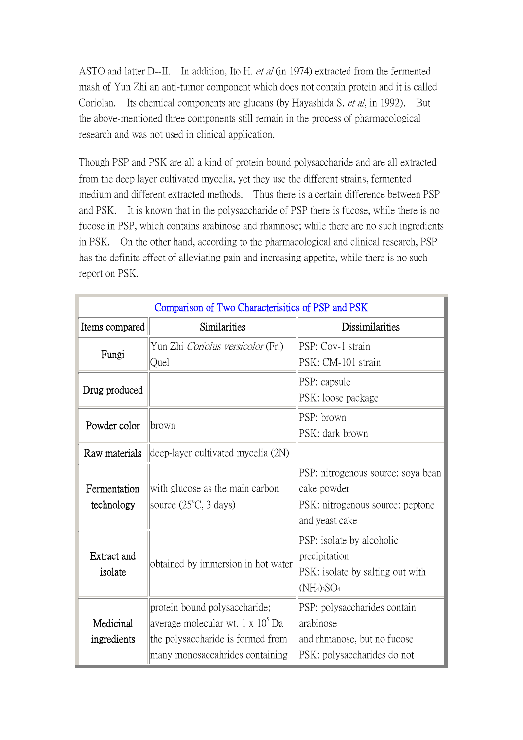ASTO and latter D--II. In addition, Ito H. et al (in 1974) extracted from the fermented mash of Yun Zhi an anti-tumor component which does not contain protein and it is called Coriolan. Its chemical components are glucans (by Hayashida S. et al, in 1992). But the above-mentioned three components still remain in the process of pharmacological research and was not used in clinical application.

Though PSP and PSK are all a kind of protein bound polysaccharide and are all extracted from the deep layer cultivated mycelia, yet they use the different strains, fermented medium and different extracted methods. Thus there is a certain difference between PSP and PSK. It is known that in the polysaccharide of PSP there is fucose, while there is no fucose in PSP, which contains arabinose and rhamnose; while there are no such ingredients in PSK. On the other hand, according to the pharmacological and clinical research, PSP has the definite effect of alleviating pain and increasing appetite, while there is no such report on PSK.

| Comparison of Two Characterisitics of PSP and PSK |                                              |                                    |
|---------------------------------------------------|----------------------------------------------|------------------------------------|
| Items compared                                    | Similarities                                 | Dissimilarities                    |
| Fungi                                             | Yun Zhi Coriolus versicolor (Fr.)            | PSP: Cov-1 strain                  |
|                                                   | Quel                                         | PSK: CM-101 strain                 |
| Drug produced                                     |                                              | PSP: capsule                       |
|                                                   |                                              | PSK: loose package                 |
|                                                   |                                              | PSP: brown                         |
| Powder color                                      | brown                                        | PSK: dark brown                    |
| Raw materials                                     | deep-layer cultivated mycelia (2N)           |                                    |
|                                                   |                                              | PSP: nitrogenous source: soya bean |
| Fermentation                                      | with glucose as the main carbon              | cake powder                        |
| technology                                        | source $(25^{\circ}C, 3 \text{ days})$       | PSK: nitrogenous source: peptone   |
|                                                   |                                              | and yeast cake                     |
|                                                   |                                              | PSP: isolate by alcoholic          |
| <b>Extract and</b>                                |                                              | precipitation                      |
| isolate                                           | obtained by immersion in hot water           | PSK: isolate by salting out with   |
|                                                   |                                              | $(NH_4)_2SO_4$                     |
|                                                   | protein bound polysaccharide;                | PSP: polysaccharides contain       |
| Medicinal                                         | average molecular wt. 1 x 10 <sup>o</sup> Da | larabinose                         |
| ingredients                                       | the polysaccharide is formed from            | and rhmanose, but no fucose        |
|                                                   | many monosaccahrides containing              | PSK: polysaccharides do not        |